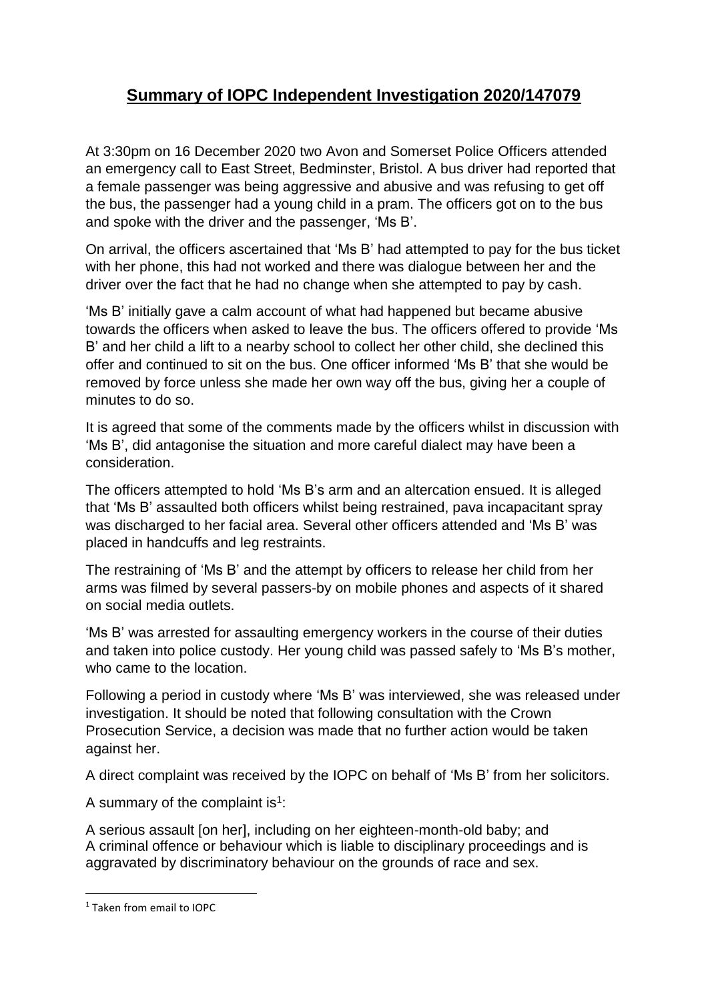## **Summary of IOPC Independent Investigation 2020/147079**

At 3:30pm on 16 December 2020 two Avon and Somerset Police Officers attended an emergency call to East Street, Bedminster, Bristol. A bus driver had reported that a female passenger was being aggressive and abusive and was refusing to get off the bus, the passenger had a young child in a pram. The officers got on to the bus and spoke with the driver and the passenger, 'Ms B'.

On arrival, the officers ascertained that 'Ms B' had attempted to pay for the bus ticket with her phone, this had not worked and there was dialogue between her and the driver over the fact that he had no change when she attempted to pay by cash.

'Ms B' initially gave a calm account of what had happened but became abusive towards the officers when asked to leave the bus. The officers offered to provide 'Ms B' and her child a lift to a nearby school to collect her other child, she declined this offer and continued to sit on the bus. One officer informed 'Ms B' that she would be removed by force unless she made her own way off the bus, giving her a couple of minutes to do so.

It is agreed that some of the comments made by the officers whilst in discussion with 'Ms B', did antagonise the situation and more careful dialect may have been a consideration.

The officers attempted to hold 'Ms B's arm and an altercation ensued. It is alleged that 'Ms B' assaulted both officers whilst being restrained, pava incapacitant spray was discharged to her facial area. Several other officers attended and 'Ms B' was placed in handcuffs and leg restraints.

The restraining of 'Ms B' and the attempt by officers to release her child from her arms was filmed by several passers-by on mobile phones and aspects of it shared on social media outlets.

'Ms B' was arrested for assaulting emergency workers in the course of their duties and taken into police custody. Her young child was passed safely to 'Ms B's mother, who came to the location.

Following a period in custody where 'Ms B' was interviewed, she was released under investigation. It should be noted that following consultation with the Crown Prosecution Service, a decision was made that no further action would be taken against her.

A direct complaint was received by the IOPC on behalf of 'Ms B' from her solicitors.

A summary of the complaint is<sup>1</sup>:

A serious assault [on her], including on her eighteen-month-old baby; and A criminal offence or behaviour which is liable to disciplinary proceedings and is aggravated by discriminatory behaviour on the grounds of race and sex.

**.** 

<sup>1</sup> Taken from email to IOPC